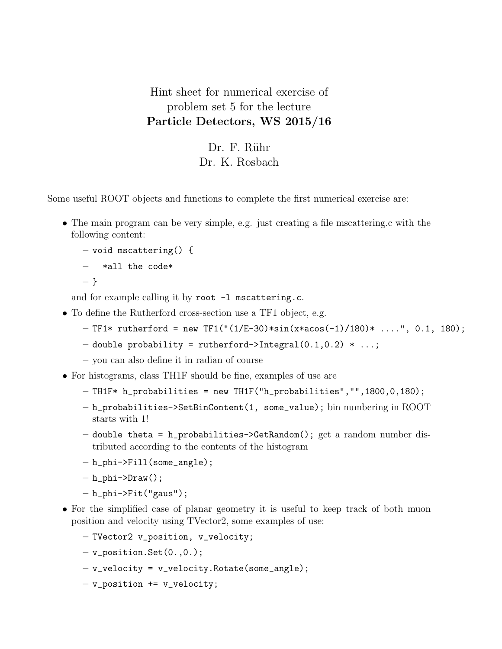Hint sheet for numerical exercise of problem set 5 for the lecture Particle Detectors, WS 2015/16

> Dr. F. Rühr Dr. K. Rosbach

Some useful ROOT objects and functions to complete the first numerical exercise are:

• The main program can be very simple, e.g. just creating a file mscattering.c with the following content:

```
- void mscattering() {
```

```
– *all the code*
```

```
– }
```
and for example calling it by root -1 mscattering.c.

- To define the Rutherford cross-section use a TF1 object, e.g.
	- $-$  TF1\* rutherford = new TF1("(1/E-30)\*sin(x\*acos(-1)/180)\* ....", 0.1, 180);
	- double probability = rutherford->Integral $(0.1, 0.2)$  \* ...;
	- you can also define it in radian of course
- For histograms, class TH1F should be fine, examples of use are
	- TH1F\* h\_probabilities = new TH1F("h\_probabilities","",1800,0,180);
	- h\_probabilities->SetBinContent(1, some\_value); bin numbering in ROOT starts with 1!
	- $-$  double theta = h\_probabilities->GetRandom(); get a random number distributed according to the contents of the histogram
	- $-$  h\_phi->Fill(some\_angle);
	- $h_{phi}$ ->Draw();
	- $-$  h\_phi->Fit("gaus");
- For the simplified case of planar geometry it is useful to keep track of both muon position and velocity using TVector2, some examples of use:
	- TVector2 v\_position, v\_velocity;
	- $-$  v\_position.Set $(0.,0.)$ ;
	- $-$  v\_velocity = v\_velocity.Rotate(some\_angle);
	- $-$  v\_position  $+=$  v\_velocity;